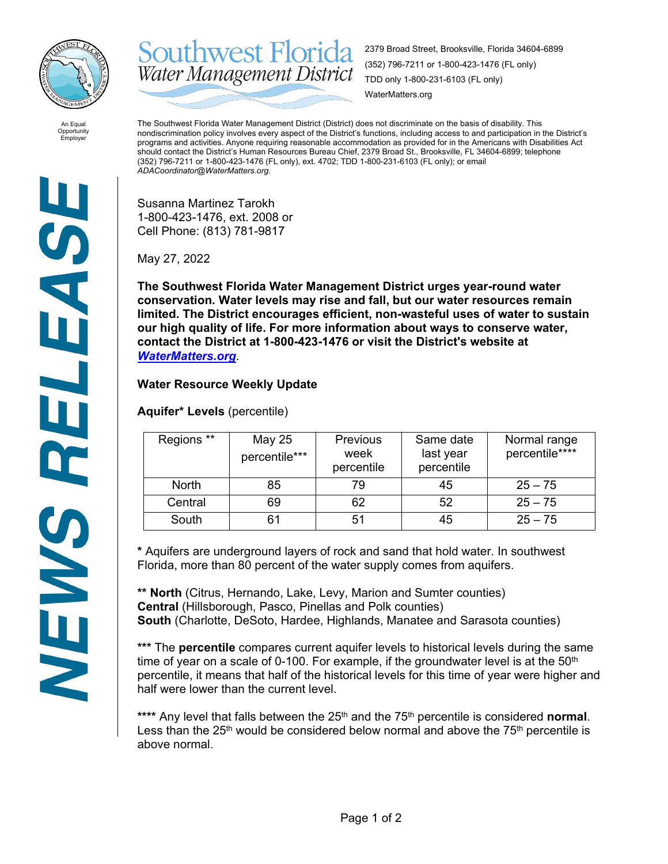

**Southwest Florida** 2379 Broad Street, Brooksville, Florida 34604-6899 (352) 796-7211 or 1-800-423-1476 (FL only) Water Management District TDD only 1-800-231-6103 (FL only) WaterMatters.org

An Equal Opportunity Employer

The Southwest Florida Water Management District (District) does not discriminate on the basis of disability. This nondiscrimination policy involves every aspect of the District's functions, including access to and participation in the District's programs and activities. Anyone requiring reasonable accommodation as provided for in the Americans with Disabilities Act should contact the District's Human Resources Bureau Chief, 2379 Broad St., Brooksville, FL 34604-6899; telephone (352) 796-7211 or 1-800-423-1476 (FL only), ext. 4702; TDD 1-800-231-6103 (FL only); or email *ADACoordinator@WaterMatters.org.*

Susanna Martinez Tarokh 1-800-423-1476, ext. 2008 or Cell Phone: (813) 781-9817

May 27, 2022

**The Southwest Florida Water Management District urges year-round water conservation. Water levels may rise and fall, but our water resources remain limited. The District encourages efficient, non-wasteful uses of water to sustain our high quality of life. For more information about ways to conserve water, contact the District at 1-800-423-1476 or visit the District's website at**  *[WaterMatters.org](http://watermatters.org/)*.

## **Water Resource Weekly Update**

**Aquifer\* Levels** (percentile)

| Regions **   | May 25<br>percentile*** | <b>Previous</b><br>week<br>percentile | Same date<br>last year<br>percentile | Normal range<br>percentile**** |
|--------------|-------------------------|---------------------------------------|--------------------------------------|--------------------------------|
| <b>North</b> | 85                      | 79                                    | 45                                   | $25 - 75$                      |
| Central      | 69                      | 62                                    | 52                                   | $25 - 75$                      |
| South        |                         | 51                                    | 45                                   | $25 - 75$                      |

**\*** Aquifers are underground layers of rock and sand that hold water. In southwest Florida, more than 80 percent of the water supply comes from aquifers.

**\*\* North** (Citrus, Hernando, Lake, Levy, Marion and Sumter counties) **Central** (Hillsborough, Pasco, Pinellas and Polk counties) **South** (Charlotte, DeSoto, Hardee, Highlands, Manatee and Sarasota counties)

**\*\*\*** The **percentile** compares current aquifer levels to historical levels during the same time of year on a scale of 0-100. For example, if the groundwater level is at the  $50<sup>th</sup>$ percentile, it means that half of the historical levels for this time of year were higher and half were lower than the current level.

\*\*\*\* Any level that falls between the 25<sup>th</sup> and the 75<sup>th</sup> percentile is considered **normal**. Less than the  $25<sup>th</sup>$  would be considered below normal and above the  $75<sup>th</sup>$  percentile is above normal.